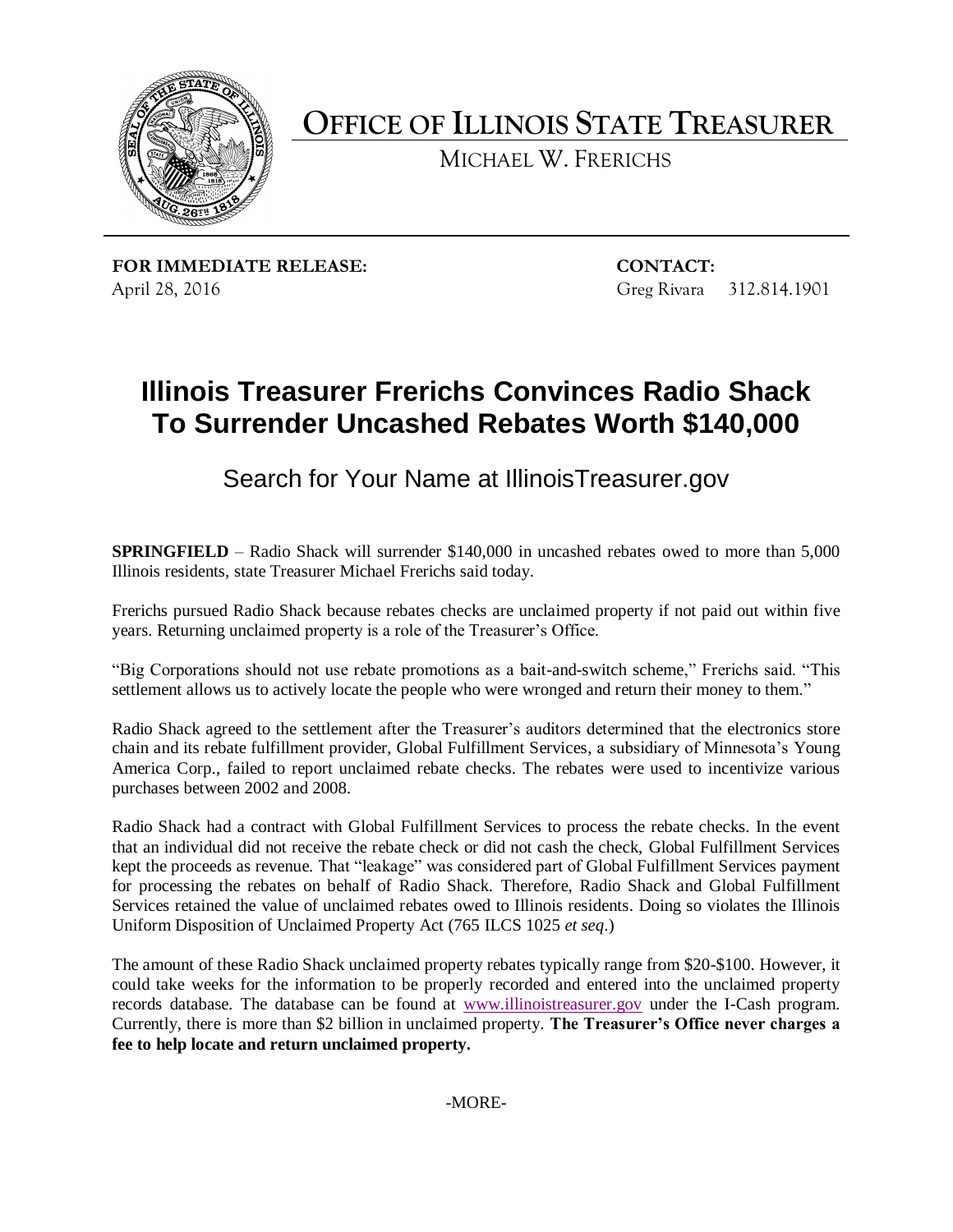

**OFFICE OF ILLINOIS STATE TREASURER**

MICHAEL W. FRERICHS

**FOR IMMEDIATE RELEASE: CONTACT:** April 28, 2016 Greg Rivara 312.814.1901

## **Illinois Treasurer Frerichs Convinces Radio Shack To Surrender Uncashed Rebates Worth \$140,000**

Search for Your Name at IllinoisTreasurer.gov

**SPRINGFIELD** – Radio Shack will surrender \$140,000 in uncashed rebates owed to more than 5,000 Illinois residents, state Treasurer Michael Frerichs said today.

Frerichs pursued Radio Shack because rebates checks are unclaimed property if not paid out within five years. Returning unclaimed property is a role of the Treasurer's Office.

"Big Corporations should not use rebate promotions as a bait-and-switch scheme," Frerichs said. "This settlement allows us to actively locate the people who were wronged and return their money to them."

Radio Shack agreed to the settlement after the Treasurer's auditors determined that the electronics store chain and its rebate fulfillment provider, Global Fulfillment Services, a subsidiary of Minnesota's Young America Corp., failed to report unclaimed rebate checks. The rebates were used to incentivize various purchases between 2002 and 2008.

Radio Shack had a contract with Global Fulfillment Services to process the rebate checks. In the event that an individual did not receive the rebate check or did not cash the check, Global Fulfillment Services kept the proceeds as revenue. That "leakage" was considered part of Global Fulfillment Services payment for processing the rebates on behalf of Radio Shack. Therefore, Radio Shack and Global Fulfillment Services retained the value of unclaimed rebates owed to Illinois residents. Doing so violates the Illinois Uniform Disposition of Unclaimed Property Act (765 ILCS 1025 *et seq*.)

The amount of these Radio Shack unclaimed property rebates typically range from \$20-\$100. However, it could take weeks for the information to be properly recorded and entered into the unclaimed property records database. The database can be found at [www.illinoistreasurer.gov](http://www.illinoistreasurer.gov/) under the I-Cash program. Currently, there is more than \$2 billion in unclaimed property. **The Treasurer's Office never charges a fee to help locate and return unclaimed property.**

-MORE-